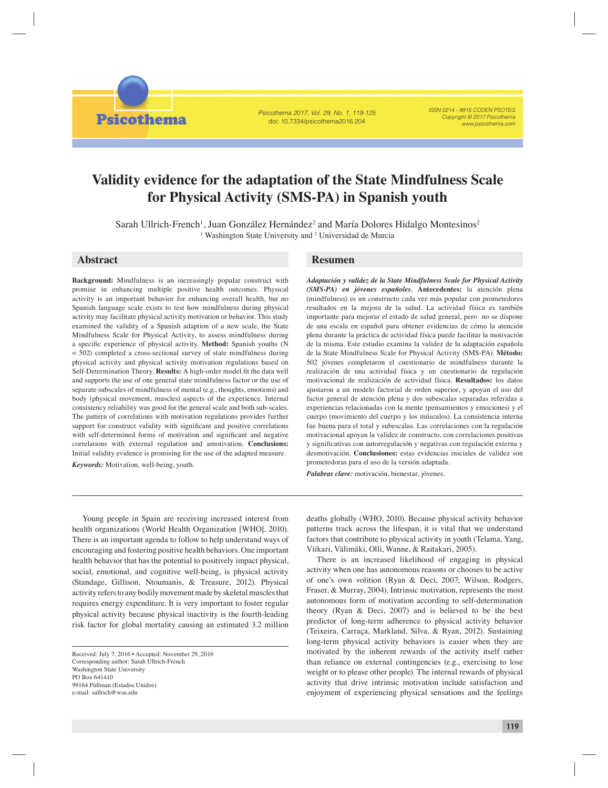**Psicothema** 

Psicothema 2017, Vol. 29, No. 1, 119-125 doi: 10.7334/psicothema2016.204

ISSN 0214 - 9915 CODEN PSOTEG Copyright © 2017 Psicothema www.psicothema.com

# **Validity evidence for the adaptation of the State Mindfulness Scale for Physical Activity (SMS-PA) in Spanish youth**

Sarah Ullrich-French<sup>1</sup>, Juan González Hernández<sup>2</sup> and María Dolores Hidalgo Montesinos<sup>2</sup> <sup>1</sup> Washington State University and <sup>2</sup> Universidad de Murcia

**Background:** Mindfulness is an increasingly popular construct with promise in enhancing multiple positive health outcomes. Physical activity is an important behavior for enhancing overall health, but no Spanish language scale exists to test how mindfulness during physical activity may facilitate physical activity motivation or behavior. This study examined the validity of a Spanish adaption of a new scale, the State Mindfulness Scale for Physical Activity, to assess mindfulness during a specific experience of physical activity. Method: Spanish youths (N  $= 502$ ) completed a cross-sectional survey of state mindfulness during physical activity and physical activity motivation regulations based on Self-Determination Theory. Results: A high-order model fit the data well and supports the use of one general state mindfulness factor or the use of separate subscales of mindfulness of mental (e.g., thoughts, emotions) and body (physical movement, muscles) aspects of the experience. Internal consistency reliability was good for the general scale and both sub-scales. The pattern of correlations with motivation regulations provides further support for construct validity with significant and positive correlations with self-determined forms of motivation and significant and negative correlations with external regulation and amotivation. **Conclusions:** Initial validity evidence is promising for the use of the adapted measure. *Keywords:* Motivation, well-being, youth.

# **Abstract Resumen**

*Adaptación y validez de la State Mindfulness Scale for Physical Activity (SMS-PA) en jóvenes españoles.* **Antecedentes:** la atención plena (mindfulness) es un constructo cada vez más popular con prometedores resultados en la mejora de la salud. La actividad física es también importante para mejorar el estado de salud general, pero no se dispone de una escala en español para obtener evidencias de cómo la atención plena durante la práctica de actividad física puede facilitar la motivación de la misma. Este estudio examina la validez de la adaptación española de la State Mindfulness Scale for Physical Activity (SMS-PA). **Método:** 502 jóvenes completaron el cuestionario de mindfulness durante la realización de una actividad física y un cuestionario de regulación motivacional de realización de actividad física. **Resultados:** los datos ajustaron a un modelo factorial de orden superior, y apoyan el uso del factor general de atención plena y dos subescalas separadas referidas a experiencias relacionadas con la mente (pensamientos y emociones) y el cuerpo (movimiento del cuerpo y los músculos). La consistencia interna fue buena para el total y subescalas. Las correlaciones con la regulación motivacional apoyan la validez de constructo, con correlaciones positivas y significativas con autorregulación y negativas con regulación externa y desmotivación. **Conclusiones:** estas evidencias iniciales de validez son prometedoras para el uso de la versión adaptada.

*Palabras clave:* motivación, bienestar, jóvenes.

Young people in Spain are receiving increased interest from health organizations (World Health Organization [WHO], 2010). There is an important agenda to follow to help understand ways of encouraging and fostering positive health behaviors. One important health behavior that has the potential to positively impact physical, social, emotional, and cognitive well-being, is physical activity (Standage, Gillison, Ntoumanis, & Treasure, 2012). Physical activity refers to any bodily movement made by skeletal muscles that requires energy expenditure. It is very important to foster regular physical activity because physical inactivity is the fourth-leading risk factor for global mortality causing an estimated 3.2 million

Received: July 7, 2016 • Accepted: November 29, 2016 Corresponding author: Sarah Ullrich-French Washington State University PO Box 641410 99164 Pullman (Estados Unidos) e-mail: sullrich@wsu.edu

deaths globally (WHO, 2010). Because physical activity behavior patterns track across the lifespan, it is vital that we understand factors that contribute to physical activity in youth (Telama, Yang, Viikari, Välimäki, Olli, Wanne, & Raitakari, 2005).

There is an increased likelihood of engaging in physical activity when one has autonomous reasons or chooses to be active of one's own volition (Ryan & Deci, 2007; Wilson, Rodgers, Fraser, & Murray, 2004). Intrinsic motivation, represents the most autonomous form of motivation according to self-determination theory (Ryan & Deci, 2007) and is believed to be the best predictor of long-term adherence to physical activity behavior (Teixeira, Carraça, Markland, Silva, & Ryan, 2012). Sustaining long-term physical activity behaviors is easier when they are motivated by the inherent rewards of the activity itself rather than reliance on external contingencies (e.g., exercising to lose weight or to please other people). The internal rewards of physical activity that drive intrinsic motivation include satisfaction and enjoyment of experiencing physical sensations and the feelings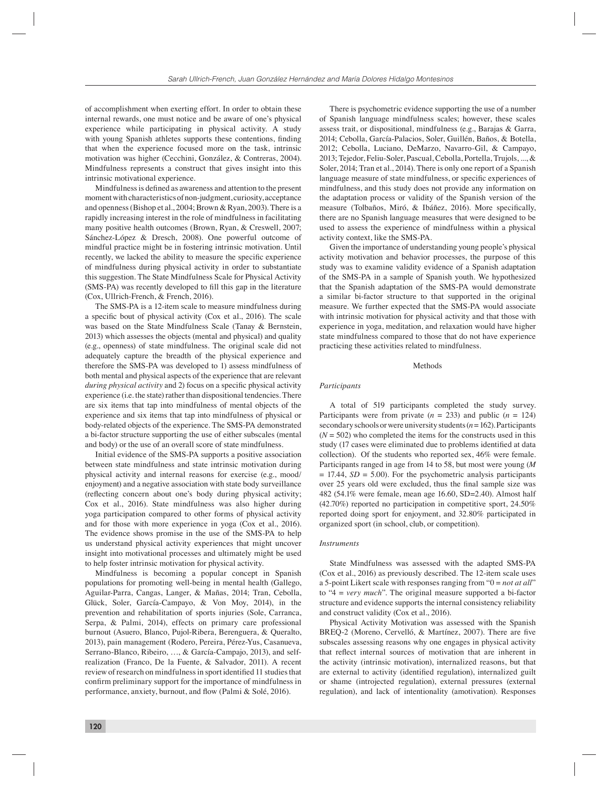of accomplishment when exerting effort. In order to obtain these internal rewards, one must notice and be aware of one's physical experience while participating in physical activity. A study with young Spanish athletes supports these contentions, finding that when the experience focused more on the task, intrinsic motivation was higher (Cecchini, González, & Contreras, 2004). Mindfulness represents a construct that gives insight into this intrinsic motivational experience.

Mindfulness is defined as awareness and attention to the present moment with characteristics of non-judgment, curiosity, acceptance and openness (Bishop et al., 2004; Brown & Ryan, 2003). There is a rapidly increasing interest in the role of mindfulness in facilitating many positive health outcomes (Brown, Ryan, & Creswell, 2007; Sánchez-López & Dresch, 2008). One powerful outcome of mindful practice might be in fostering intrinsic motivation. Until recently, we lacked the ability to measure the specific experience of mindfulness during physical activity in order to substantiate this suggestion. The State Mindfulness Scale for Physical Activity (SMS-PA) was recently developed to fill this gap in the literature (Cox, Ullrich-French, & French, 2016).

The SMS-PA is a 12-item scale to measure mindfulness during a specific bout of physical activity ( $Cox$  et al., 2016). The scale was based on the State Mindfulness Scale (Tanay & Bernstein, 2013) which assesses the objects (mental and physical) and quality (e.g., openness) of state mindfulness. The original scale did not adequately capture the breadth of the physical experience and therefore the SMS-PA was developed to 1) assess mindfulness of both mental and physical aspects of the experience that are relevant *during physical activity* and 2) focus on a specific physical activity experience (i.e. the state) rather than dispositional tendencies. There are six items that tap into mindfulness of mental objects of the experience and six items that tap into mindfulness of physical or body-related objects of the experience. The SMS-PA demonstrated a bi-factor structure supporting the use of either subscales (mental and body) or the use of an overall score of state mindfulness.

Initial evidence of the SMS-PA supports a positive association between state mindfulness and state intrinsic motivation during physical activity and internal reasons for exercise (e.g., mood/ enjoyment) and a negative association with state body surveillance (reflecting concern about one's body during physical activity; Cox et al., 2016). State mindfulness was also higher during yoga participation compared to other forms of physical activity and for those with more experience in yoga (Cox et al., 2016). The evidence shows promise in the use of the SMS-PA to help us understand physical activity experiences that might uncover insight into motivational processes and ultimately might be used to help foster intrinsic motivation for physical activity.

Mindfulness is becoming a popular concept in Spanish populations for promoting well-being in mental health (Gallego, Aguilar-Parra, Cangas, Langer, & Mañas, 2014; Tran, Cebolla, Glück, Soler, García-Campayo, & Von Moy, 2014), in the prevention and rehabilitation of sports injuries (Sole, Carranca, Serpa, & Palmi, 2014), effects on primary care professional burnout (Asuero, Blanco, Pujol-Ribera, Berenguera, & Queralto, 2013), pain management (Rodero, Pereira, Pérez-Yus, Casanueva, Serrano-Blanco, Ribeiro, …, & García-Campajo, 2013), and selfrealization (Franco, De la Fuente, & Salvador, 2011). A recent review of research on mindfulness in sport identified 11 studies that confirm preliminary support for the importance of mindfulness in performance, anxiety, burnout, and flow (Palmi & Solé, 2016).

There is psychometric evidence supporting the use of a number of Spanish language mindfulness scales; however, these scales assess trait, or dispositional, mindfulness (e.g., Barajas & Garra, 2014; Cebolla, García-Palacios, Soler, Guillén, Baños, & Botella, 2012; Cebolla, Luciano, DeMarzo, Navarro-Gil, & Campayo, 2013; Tejedor, Feliu-Soler, Pascual, Cebolla, Portella, Trujols, ..., & Soler, 2014; Tran et al., 2014). There is only one report of a Spanish language measure of state mindfulness, or specific experiences of mindfulness, and this study does not provide any information on the adaptation process or validity of the Spanish version of the measure (Tolbaños, Miró, & Ibáñez, 2016). More specifically, there are no Spanish language measures that were designed to be used to assess the experience of mindfulness within a physical activity context, like the SMS-PA.

Given the importance of understanding young people's physical activity motivation and behavior processes, the purpose of this study was to examine validity evidence of a Spanish adaptation of the SMS-PA in a sample of Spanish youth. We hypothesized that the Spanish adaptation of the SMS-PA would demonstrate a similar bi-factor structure to that supported in the original measure. We further expected that the SMS-PA would associate with intrinsic motivation for physical activity and that those with experience in yoga, meditation, and relaxation would have higher state mindfulness compared to those that do not have experience practicing these activities related to mindfulness.

# Methods

#### *Participants*

A total of 519 participants completed the study survey. Participants were from private  $(n = 233)$  and public  $(n = 124)$ secondary schools or were university students (*n* = 162). Participants  $(N = 502)$  who completed the items for the constructs used in this study (17 cases were eliminated due to problems identified at data collection). Of the students who reported sex, 46% were female. Participants ranged in age from 14 to 58, but most were young (*M*  $= 17.44$ ,  $SD = 5.00$ ). For the psychometric analysis participants over 25 years old were excluded, thus the final sample size was 482 (54.1% were female, mean age 16.60, SD=2.40). Almost half (42.70%) reported no participation in competitive sport, 24.50% reported doing sport for enjoyment, and 32.80% participated in organized sport (in school, club, or competition).

#### *Instruments*

State Mindfulness was assessed with the adapted SMS-PA (Cox et al., 2016) as previously described. The 12-item scale uses a 5-point Likert scale with responses ranging from "0 = *not at all*" to "4 = *very much*". The original measure supported a bi-factor structure and evidence supports the internal consistency reliability and construct validity (Cox et al., 2016).

Physical Activity Motivation was assessed with the Spanish BREQ-2 (Moreno, Cervelló, & Martínez, 2007). There are five subscales assessing reasons why one engages in physical activity that reflect internal sources of motivation that are inherent in the activity (intrinsic motivation), internalized reasons, but that are external to activity (identified regulation), internalized guilt or shame (introjected regulation), external pressures (external regulation), and lack of intentionality (amotivation). Responses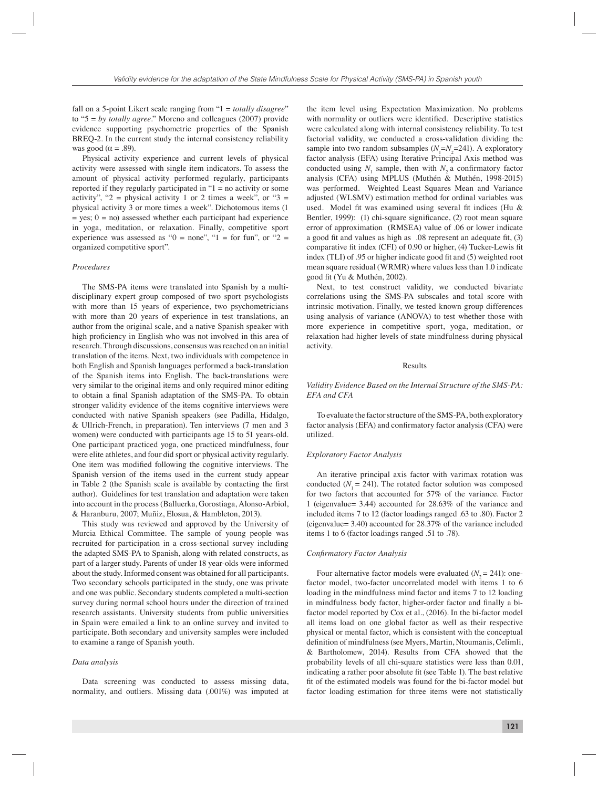fall on a 5-point Likert scale ranging from "1 = *totally disagree*" to "5 = *by totally agree*." Moreno and colleagues (2007) provide evidence supporting psychometric properties of the Spanish BREQ-2. In the current study the internal consistency reliability was good ( $\alpha = .89$ ).

Physical activity experience and current levels of physical activity were assessed with single item indicators. To assess the amount of physical activity performed regularly, participants reported if they regularly participated in  $1 =$  no activity or some activity", "2 = physical activity 1 or 2 times a week", or "3 = physical activity 3 or more times a week". Dichotomous items (1  $=$  yes;  $0 =$  no) assessed whether each participant had experience in yoga, meditation, or relaxation. Finally, competitive sport experience was assessed as " $0 =$  none", " $1 =$  for fun", or " $2 =$ organized competitive sport".

# *Procedures*

The SMS-PA items were translated into Spanish by a multidisciplinary expert group composed of two sport psychologists with more than 15 years of experience, two psychometricians with more than 20 years of experience in test translations, an author from the original scale, and a native Spanish speaker with high proficiency in English who was not involved in this area of research. Through discussions, consensus was reached on an initial translation of the items. Next, two individuals with competence in both English and Spanish languages performed a back-translation of the Spanish items into English. The back-translations were very similar to the original items and only required minor editing to obtain a final Spanish adaptation of the SMS-PA. To obtain stronger validity evidence of the items cognitive interviews were conducted with native Spanish speakers (see Padilla, Hidalgo, & Ullrich-French, in preparation). Ten interviews (7 men and 3 women) were conducted with participants age 15 to 51 years-old. One participant practiced yoga, one practiced mindfulness, four were elite athletes, and four did sport or physical activity regularly. One item was modified following the cognitive interviews. The Spanish version of the items used in the current study appear in Table 2 (the Spanish scale is available by contacting the first author). Guidelines for test translation and adaptation were taken into account in the process (Balluerka, Gorostiaga, Alonso-Arbiol, & Haranburu, 2007; Muñiz, Elosua, & Hambleton, 2013).

This study was reviewed and approved by the University of Murcia Ethical Committee. The sample of young people was recruited for participation in a cross-sectional survey including the adapted SMS-PA to Spanish, along with related constructs, as part of a larger study. Parents of under 18 year-olds were informed about the study. Informed consent was obtained for all participants. Two secondary schools participated in the study, one was private and one was public. Secondary students completed a multi-section survey during normal school hours under the direction of trained research assistants. University students from public universities in Spain were emailed a link to an online survey and invited to participate. Both secondary and university samples were included to examine a range of Spanish youth.

## *Data analysis*

Data screening was conducted to assess missing data, normality, and outliers. Missing data (.001%) was imputed at

the item level using Expectation Maximization. No problems with normality or outliers were identified. Descriptive statistics were calculated along with internal consistency reliability. To test factorial validity, we conducted a cross-validation dividing the sample into two random subsamples  $(N_1=N_2=241)$ . A exploratory factor analysis (EFA) using Iterative Principal Axis method was conducted using  $N_1$  sample, then with  $N_2$  a confirmatory factor analysis (CFA) using MPLUS (Muthén & Muthén, 1998-2015) was performed. Weighted Least Squares Mean and Variance adjusted (WLSMV) estimation method for ordinal variables was used. Model fit was examined using several fit indices (Hu  $\&$ Bentler, 1999): (1) chi-square significance, (2) root mean square error of approximation (RMSEA) value of .06 or lower indicate a good fit and values as high as  $.08$  represent an adequate fit, (3) comparative fit index (CFI) of 0.90 or higher, (4) Tucker-Lewis fit index (TLI) of .95 or higher indicate good fit and (5) weighted root mean square residual (WRMR) where values less than 1.0 indicate good fit (Yu & Muthén, 2002).

Next, to test construct validity, we conducted bivariate correlations using the SMS-PA subscales and total score with intrinsic motivation. Finally, we tested known group differences using analysis of variance (ANOVA) to test whether those with more experience in competitive sport, yoga, meditation, or relaxation had higher levels of state mindfulness during physical activity.

# Results

# *Validity Evidence Based on the Internal Structure of the SMS-PA: EFA and CFA*

To evaluate the factor structure of the SMS-PA, both exploratory factor analysis (EFA) and confirmatory factor analysis (CFA) were utilized.

#### *Exploratory Factor Analysis*

An iterative principal axis factor with varimax rotation was conducted  $(N_1 = 241)$ . The rotated factor solution was composed for two factors that accounted for 57% of the variance. Factor 1 (eigenvalue= 3.44) accounted for 28.63% of the variance and included items 7 to 12 (factor loadings ranged .63 to .80). Factor 2 (eigenvalue= 3.40) accounted for 28.37% of the variance included items 1 to 6 (factor loadings ranged .51 to .78).

#### *Confi rmatory Factor Analysis*

Four alternative factor models were evaluated  $(N<sub>2</sub> = 241)$ : onefactor model, two-factor uncorrelated model with items 1 to 6 loading in the mindfulness mind factor and items 7 to 12 loading in mindfulness body factor, higher-order factor and finally a bifactor model reported by Cox et al., (2016). In the bi-factor model all items load on one global factor as well as their respective physical or mental factor, which is consistent with the conceptual definition of mindfulness (see Myers, Martin, Ntoumanis, Celimli, & Bartholomew, 2014). Results from CFA showed that the probability levels of all chi-square statistics were less than 0.01, indicating a rather poor absolute fit (see Table 1). The best relative fit of the estimated models was found for the bi-factor model but factor loading estimation for three items were not statistically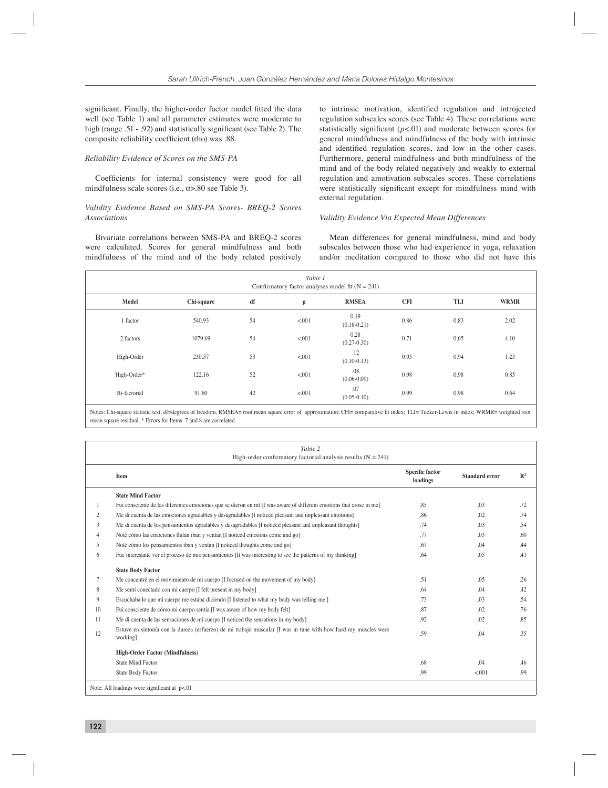significant. Finally, the higher-order factor model fitted the data well (see Table 1) and all parameter estimates were moderate to high (range .51 - .92) and statistically significant (see Table 2). The composite reliability coefficient (rho) was .88.

## *Reliability Evidence of Scores on the SMS-PA*

Coefficients for internal consistency were good for all mindfulness scale scores (i.e.,  $\alpha$  > 80 see Table 3).

# *Validity Evidence Based on SMS-PA Scores- BREQ-2 Scores Associations*

Bivariate correlations between SMS-PA and BREQ-2 scores were calculated. Scores for general mindfulness and both mindfulness of the mind and of the body related positively to intrinsic motivation, identified regulation and introjected regulation subscales scores (see Table 4). These correlations were statistically significant  $(p<.01)$  and moderate between scores for general mindfulness and mindfulness of the body with intrinsic and identified regulation scores, and low in the other cases. Furthermore, general mindfulness and both mindfulness of the mind and of the body related negatively and weakly to external regulation and amotivation subscales scores. These correlations were statistically significant except for mindfulness mind with external regulation.

# *Validity Evidence Via Expected Mean Differences*

Mean differences for general mindfulness, mind and body subscales between those who had experience in yoga, relaxation and/or meditation compared to those who did not have this

| Table 1<br>Confirmatory factor analyses model fit $(N = 241)$ |            |    |        |                         |            |      |             |
|---------------------------------------------------------------|------------|----|--------|-------------------------|------------|------|-------------|
| Model                                                         | Chi-square | df | p      | <b>RMSEA</b>            | <b>CFI</b> | TLI  | <b>WRMR</b> |
| 1 factor                                                      | 540.93     | 54 | < .001 | 0.19<br>$(0.18 - 0.21)$ | 0.86       | 0.83 | 2.02        |
| 2 factors                                                     | 1079.69    | 54 | < .001 | 0.28<br>$(0.27 - 0.30)$ | 0.71       | 0.65 | 4.10        |
| High-Order                                                    | 230.37     | 53 | < .001 | .12<br>$(0.10-0.13)$    | 0.95       | 0.94 | 1.23        |
| High-Order*                                                   | 122.16     | 52 | < .001 | .08<br>$(0.06 - 0.09)$  | 0.98       | 0.98 | 0.85        |
| Bi-factorial                                                  | 91.60      | 42 | < .001 | .07<br>$(0.05-0.10)$    | 0.99       | 0.98 | 0.64        |

Notes: Chi-square statistic test; df=degrees of freedom, RMSEA= root mean square error of approximation; CFI= comparative fit index; TLI= Tucker-Lewis fit index; WRMR= weighted root mean square residual. \* Errors for Items 7 and 8 are correlated

|    | Table 2<br>High-order confirmatory factorial analysis results $(N = 241)$                                                   |                                    |                       |                |
|----|-----------------------------------------------------------------------------------------------------------------------------|------------------------------------|-----------------------|----------------|
|    | Item                                                                                                                        | <b>Specific factor</b><br>loadings | <b>Standard error</b> | $\mathbb{R}^2$ |
|    | <b>State Mind Factor</b>                                                                                                    |                                    |                       |                |
|    | Fui consciente de las diferentes emociones que se dieron en mí [I was aware of different emotions that arose in me]         | .85                                | .03                   | .72            |
| 2  | Me di cuenta de las emociones agradables y desagradables [I noticed pleasant and unpleasant emotions]                       | .86                                | .02                   | .74            |
| 3  | Me di cuenta de los pensamientos agradables y desagradables [I noticed pleasant and unpleasant thoughts]                    | .74                                | .03                   | .54            |
| 4  | Noté cómo las emociones fluían iban y venían [I noticed emotions come and go]                                               | .77                                | .03                   | .60            |
| 5  | Noté cómo los pensamientos iban y venían [I noticed thoughts come and go]                                                   | .67                                | .04                   | .44            |
| 6  | Fue interesante ver el proceso de mis pensamientos [It was interesting to see the patterns of my thinking]                  | .64                                | .05                   | .41            |
|    | <b>State Body Factor</b>                                                                                                    |                                    |                       |                |
| 7  | Me concentré en el movimiento de mi cuerpo [I focused on the movement of my body]                                           | .51                                | .05                   | .26            |
| 8  | Me sentí conectado con mi cuerpo [I felt present in my body]                                                                | .64                                | .04                   | .42            |
| 9  | Escuchaba lo que mi cuerpo me estaba diciendo [I listened to what my body was telling me.]                                  | .73                                | .03                   | .54            |
| 10 | Fui consciente de cómo mi cuerpo sentía [I was aware of how my body felt]                                                   | .87                                | .02                   | .76            |
| 11 | Me di cuenta de las sensaciones de mi cuerpo [I noticed the sensations in my body]                                          | .92                                | .02                   | .85            |
| 12 | Estuve en sintonía con la dureza (esfuerzo) de mi trabajo muscular [I was in tune with how hard my muscles were<br>working] | .59                                | .04                   | .35            |
|    | <b>High-Order Factor (Mindfulness)</b>                                                                                      |                                    |                       |                |
|    | <b>State Mind Factor</b>                                                                                                    | .68                                | .04                   | .46            |
|    | <b>State Body Factor</b>                                                                                                    | .99                                | < .001                | .99            |
|    | Note: All loadings were significant at $p<01$                                                                               |                                    |                       |                |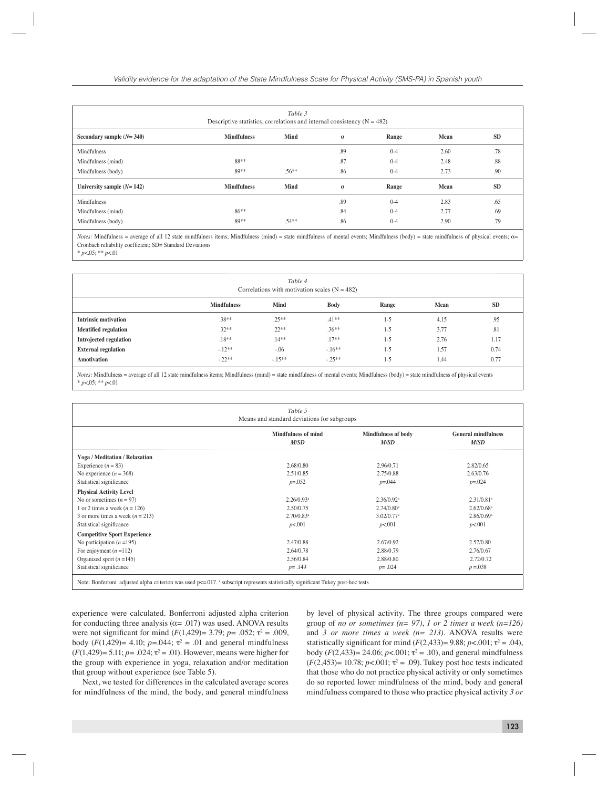| Table 3<br>Descriptive statistics, correlations and internal consistency $(N = 482)$ |                    |             |          |         |      |           |
|--------------------------------------------------------------------------------------|--------------------|-------------|----------|---------|------|-----------|
| Secondary sample $(N=340)$                                                           | <b>Mindfulness</b> | <b>Mind</b> | $\alpha$ | Range   | Mean | <b>SD</b> |
| Mindfulness                                                                          |                    |             | .89      | $0 - 4$ | 2.60 | .78       |
| Mindfulness (mind)                                                                   | .88**              |             | .87      | $0 - 4$ | 2.48 | .88       |
| Mindfulness (body)                                                                   | .89**              | $.56***$    | .86      | $0 - 4$ | 2.73 | .90       |
| University sample $(N=142)$                                                          | <b>Mindfulness</b> | <b>Mind</b> | $\alpha$ | Range   | Mean | <b>SD</b> |
| Mindfulness                                                                          |                    |             | .89      | $0 - 4$ | 2.83 | .65       |
| Mindfulness (mind)                                                                   | $.86**$            |             | .84      | $0 - 4$ | 2.77 | .69       |
| Mindfulness (body)                                                                   | $.89**$            | $.54**$     | .86      | $0 - 4$ | 2.90 | .79       |

*Notes:* Mindfulness = average of all 12 state mindfulness items; Mindfulness (mind) = state mindfulness of mental events; Mindfulness (body) = state mindfulness of physical events; α= Cronbach reliability coefficient; SD= Standard Deviations \* *p*<.05; \*\* *p*<.01

| Table 4<br>Correlations with motivation scales $(N = 482)$ |                    |             |             |         |      |           |
|------------------------------------------------------------|--------------------|-------------|-------------|---------|------|-----------|
|                                                            | <b>Mindfulness</b> | <b>Mind</b> | <b>Body</b> | Range   | Mean | <b>SD</b> |
| <b>Intrinsic motivation</b>                                | $.38**$            | $.25***$    | $.41***$    | $1 - 5$ | 4.15 | .95       |
| <b>Identified regulation</b>                               | $.32**$            | $.22**$     | $.36**$     | $1 - 5$ | 3.77 | .81       |
| Introjected regulation                                     | $.18**$            | $.14***$    | $.17**$     | $1 - 5$ | 2.76 | 1.17      |
| <b>External regulation</b>                                 | $-.12**$           | $-.06$      | $-.16**$    | $1 - 5$ | 1.57 | 0.74      |
| <b>Amotivation</b>                                         | $-.22**$           | $-.15***$   | $-25**$     | $1 - 5$ | 1.44 | 0.77      |

*Notes:* Mindfulness = average of all 12 state mindfulness items; Mindfulness (mind) = state mindfulness of mental events; Mindfulness (body) = state mindfulness of physical events \* *p*<.05; \*\* *p*<.01

| Table 5<br>Means and standard deviations for subgroups                                                                            |                                               |                                               |                                               |  |  |  |
|-----------------------------------------------------------------------------------------------------------------------------------|-----------------------------------------------|-----------------------------------------------|-----------------------------------------------|--|--|--|
|                                                                                                                                   | <b>Mindfulness of mind</b><br>M <sub>SD</sub> | <b>Mindfulness of body</b><br>M <sub>SD</sub> | <b>General mindfulness</b><br>M <sub>SD</sub> |  |  |  |
| <b>Yoga / Meditation / Relaxation</b>                                                                                             |                                               |                                               |                                               |  |  |  |
| Experience $(n = 83)$                                                                                                             | 2.68/0.80                                     | 2.96/0.71                                     | 2.82/0.65                                     |  |  |  |
| No experience $(n = 368)$                                                                                                         | 2.51/0.85                                     | 2.75/0.88                                     | 2.63/0.76                                     |  |  |  |
| Statistical significance                                                                                                          | $p = 0.052$                                   | $p = 0.044$                                   | $p = 0.024$                                   |  |  |  |
| <b>Physical Activity Level</b>                                                                                                    |                                               |                                               |                                               |  |  |  |
| No or sometimes $(n = 97)$                                                                                                        | $2.26/0.93$ <sup>a</sup>                      | $2.36/0.92$ <sup>a</sup>                      | $2.31/0.81$ <sup>a</sup>                      |  |  |  |
| 1 or 2 times a week $(n = 126)$                                                                                                   | 2.50/0.75                                     | $2.74/0.80$ <sup>a</sup>                      | $2.62/0.68$ <sup>a</sup>                      |  |  |  |
| 3 or more times a week $(n = 213)$                                                                                                | $2.70/0.83$ <sup>a</sup>                      | $3.02/0.77$ <sup>a</sup>                      | $2.86/0.69$ <sup>a</sup>                      |  |  |  |
| Statistical significance                                                                                                          | p<.001                                        | p<.001                                        | p<.001                                        |  |  |  |
| <b>Competitive Sport Experience</b>                                                                                               |                                               |                                               |                                               |  |  |  |
| No participation $(n = 195)$                                                                                                      | 2.47/0.88                                     | 2.67/0.92                                     | 2.57/0.80                                     |  |  |  |
| For enjoyment $(n=112)$                                                                                                           | 2.64/0.78                                     | 2.88/0.79                                     | 2.76/0.67                                     |  |  |  |
| Organized sport $(n=145)$                                                                                                         | 2.56/0.84                                     | 2.88/0.80                                     | 2.72/0.72                                     |  |  |  |
| Statistical significance                                                                                                          | $p = .149$                                    | $p = .024$                                    | $p = 0.038$                                   |  |  |  |
| Note: Bonferroni adjusted alpha criterion was used p<= 017. * subscript represents statistically significant Tukey post-hoc tests |                                               |                                               |                                               |  |  |  |

experience were calculated. Bonferroni adjusted alpha criterion for conducting three analysis ( $\alpha$ = .017) was used. ANOVA results were not significant for mind  $(F(1,429) = 3.79; p = .052; \tau^2 = .009,$ body  $(F(1,429)) = 4.10$ ;  $p = 0.044$ ;  $\tau^2 = 0.01$  and general mindfulness  $(F(1,429) = 5.11; p = .024; \tau^2 = .01)$ . However, means were higher for the group with experience in yoga, relaxation and/or meditation that group without experience (see Table 5).

Next, we tested for differences in the calculated average scores for mindfulness of the mind, the body, and general mindfulness

by level of physical activity. The three groups compared were group of *no or sometimes (n= 97)*, *1 or 2 times a week (n=126)* and *3 or more times a week (n= 213)*. ANOVA results were statistically significant for mind  $(F(2, 433)=9.88; p<.001; \tau^2=.04)$ , body (*F*(2,433) = 24.06; *p*<.001; τ<sup>2</sup> = .10), and general mindfulness  $(F(2, 453) = 10.78; p < .001; \tau^2 = .09)$ . Tukey post hoc tests indicated that those who do not practice physical activity or only sometimes do so reported lower mindfulness of the mind, body and general mindfulness compared to those who practice physical activity *3 or*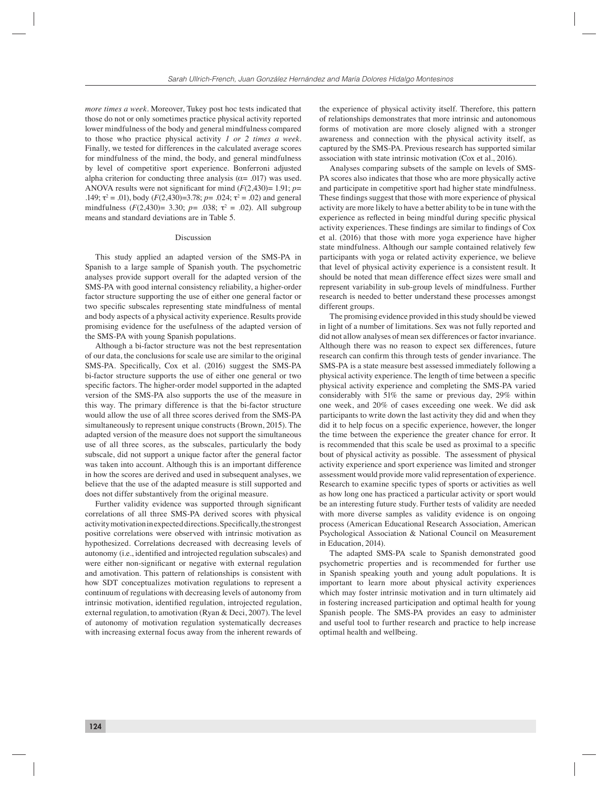*more times a week*. Moreover, Tukey post hoc tests indicated that those do not or only sometimes practice physical activity reported lower mindfulness of the body and general mindfulness compared to those who practice physical activity *1 or 2 times a week*. Finally, we tested for differences in the calculated average scores for mindfulness of the mind, the body, and general mindfulness by level of competitive sport experience. Bonferroni adjusted alpha criterion for conducting three analysis ( $\alpha$ = .017) was used. ANOVA results were not significant for mind  $(F(2,430)=1.91; p=$ .149;  $\tau^2 = .01$ ), body  $(F(2,430)=3.78; p=.024; \tau^2=.02)$  and general mindfulness  $(F(2,430) = 3.30; p = .038; \tau^2 = .02)$ . All subgroup means and standard deviations are in Table 5.

#### Discussion

This study applied an adapted version of the SMS-PA in Spanish to a large sample of Spanish youth. The psychometric analyses provide support overall for the adapted version of the SMS-PA with good internal consistency reliability, a higher-order factor structure supporting the use of either one general factor or two specific subscales representing state mindfulness of mental and body aspects of a physical activity experience. Results provide promising evidence for the usefulness of the adapted version of the SMS-PA with young Spanish populations.

Although a bi-factor structure was not the best representation of our data, the conclusions for scale use are similar to the original SMS-PA. Specifically, Cox et al. (2016) suggest the SMS-PA bi-factor structure supports the use of either one general or two specific factors. The higher-order model supported in the adapted version of the SMS-PA also supports the use of the measure in this way. The primary difference is that the bi-factor structure would allow the use of all three scores derived from the SMS-PA simultaneously to represent unique constructs (Brown, 2015). The adapted version of the measure does not support the simultaneous use of all three scores, as the subscales, particularly the body subscale, did not support a unique factor after the general factor was taken into account. Although this is an important difference in how the scores are derived and used in subsequent analyses, we believe that the use of the adapted measure is still supported and does not differ substantively from the original measure.

Further validity evidence was supported through significant correlations of all three SMS-PA derived scores with physical activity motivation in expected directions. Specifically, the strongest positive correlations were observed with intrinsic motivation as hypothesized. Correlations decreased with decreasing levels of autonomy (i.e., identified and introjected regulation subscales) and were either non-significant or negative with external regulation and amotivation. This pattern of relationships is consistent with how SDT conceptualizes motivation regulations to represent a continuum of regulations with decreasing levels of autonomy from intrinsic motivation, identified regulation, introjected regulation, external regulation, to amotivation (Ryan & Deci, 2007). The level of autonomy of motivation regulation systematically decreases with increasing external focus away from the inherent rewards of the experience of physical activity itself. Therefore, this pattern of relationships demonstrates that more intrinsic and autonomous forms of motivation are more closely aligned with a stronger awareness and connection with the physical activity itself, as captured by the SMS-PA. Previous research has supported similar association with state intrinsic motivation (Cox et al., 2016).

Analyses comparing subsets of the sample on levels of SMS-PA scores also indicates that those who are more physically active and participate in competitive sport had higher state mindfulness. These findings suggest that those with more experience of physical activity are more likely to have a better ability to be in tune with the experience as reflected in being mindful during specific physical activity experiences. These findings are similar to findings of Cox et al. (2016) that those with more yoga experience have higher state mindfulness. Although our sample contained relatively few participants with yoga or related activity experience, we believe that level of physical activity experience is a consistent result. It should be noted that mean difference effect sizes were small and represent variability in sub-group levels of mindfulness. Further research is needed to better understand these processes amongst different groups.

The promising evidence provided in this study should be viewed in light of a number of limitations. Sex was not fully reported and did not allow analyses of mean sex differences or factor invariance. Although there was no reason to expect sex differences, future research can confirm this through tests of gender invariance. The SMS-PA is a state measure best assessed immediately following a physical activity experience. The length of time between a specific physical activity experience and completing the SMS-PA varied considerably with 51% the same or previous day, 29% within one week, and 20% of cases exceeding one week. We did ask participants to write down the last activity they did and when they did it to help focus on a specific experience, however, the longer the time between the experience the greater chance for error. It is recommended that this scale be used as proximal to a specific bout of physical activity as possible. The assessment of physical activity experience and sport experience was limited and stronger assessment would provide more valid representation of experience. Research to examine specific types of sports or activities as well as how long one has practiced a particular activity or sport would be an interesting future study. Further tests of validity are needed with more diverse samples as validity evidence is on ongoing process (American Educational Research Association, American Psychological Association & National Council on Measurement in Education, 2014).

The adapted SMS-PA scale to Spanish demonstrated good psychometric properties and is recommended for further use in Spanish speaking youth and young adult populations. It is important to learn more about physical activity experiences which may foster intrinsic motivation and in turn ultimately aid in fostering increased participation and optimal health for young Spanish people. The SMS-PA provides an easy to administer and useful tool to further research and practice to help increase optimal health and wellbeing.